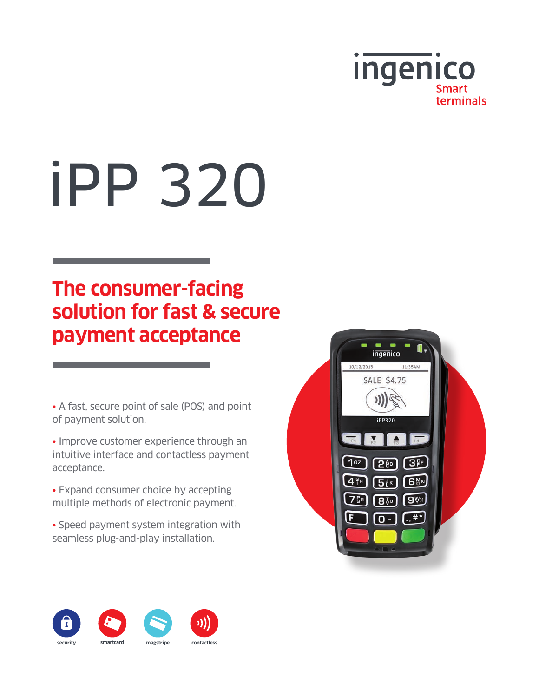

# iPP 320

## **The consumer-facing solution for fast & secure payment acceptance**

• A fast, secure point of sale (POS) and point of payment solution.

• Improve customer experience through an intuitive interface and contactless payment acceptance.

• Expand consumer choice by accepting multiple methods of electronic payment.

• Speed payment system integration with seamless plug-and-play installation.